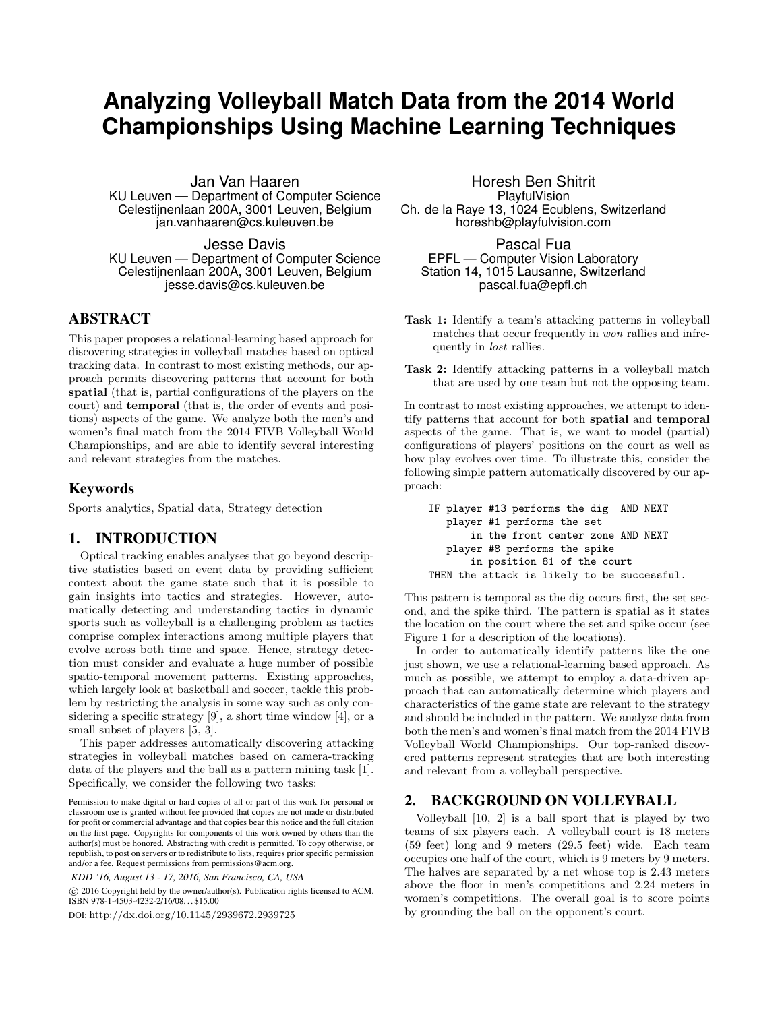# **Analyzing Volleyball Match Data from the 2014 World Championships Using Machine Learning Techniques**

Jan Van Haaren KU Leuven — Department of Computer Science Celestijnenlaan 200A, 3001 Leuven, Belgium jan.vanhaaren@cs.kuleuven.be

Jesse Davis KU Leuven — Department of Computer Science Celestijnenlaan 200A, 3001 Leuven, Belgium jesse.davis@cs.kuleuven.be

# ABSTRACT

This paper proposes a relational-learning based approach for discovering strategies in volleyball matches based on optical tracking data. In contrast to most existing methods, our approach permits discovering patterns that account for both spatial (that is, partial configurations of the players on the court) and temporal (that is, the order of events and positions) aspects of the game. We analyze both the men's and women's final match from the 2014 FIVB Volleyball World Championships, and are able to identify several interesting and relevant strategies from the matches.

# Keywords

Sports analytics, Spatial data, Strategy detection

# 1. INTRODUCTION

Optical tracking enables analyses that go beyond descriptive statistics based on event data by providing sufficient context about the game state such that it is possible to gain insights into tactics and strategies. However, automatically detecting and understanding tactics in dynamic sports such as volleyball is a challenging problem as tactics comprise complex interactions among multiple players that evolve across both time and space. Hence, strategy detection must consider and evaluate a huge number of possible spatio-temporal movement patterns. Existing approaches, which largely look at basketball and soccer, tackle this problem by restricting the analysis in some way such as only considering a specific strategy [9], a short time window [4], or a small subset of players [5, 3].

This paper addresses automatically discovering attacking strategies in volleyball matches based on camera-tracking data of the players and the ball as a pattern mining task [1]. Specifically, we consider the following two tasks:

```
KDD '16, August 13 - 17, 2016, San Francisco, CA, USA
```
 c 2016 Copyright held by the owner/author(s). Publication rights licensed to ACM. ISBN 978-1-4503-4232-2/16/08. . . \$15.00

DOI: http://dx.doi.org/10.1145/2939672.2939725

Horesh Ben Shitrit PlayfulVision Ch. de la Raye 13, 1024 Ecublens, Switzerland horeshb@playfulvision.com

Pascal Fua EPFL — Computer Vision Laboratory Station 14, 1015 Lausanne, Switzerland pascal.fua@epfl.ch

Task 1: Identify a team's attacking patterns in volleyball matches that occur frequently in won rallies and infrequently in lost rallies.

Task 2: Identify attacking patterns in a volleyball match that are used by one team but not the opposing team.

In contrast to most existing approaches, we attempt to identify patterns that account for both spatial and temporal aspects of the game. That is, we want to model (partial) configurations of players' positions on the court as well as how play evolves over time. To illustrate this, consider the following simple pattern automatically discovered by our approach:

```
IF player #13 performs the dig AND NEXT
  player #1 performs the set
       in the front center zone AND NEXT
  player #8 performs the spike
       in position 81 of the court
THEN the attack is likely to be successful.
```
This pattern is temporal as the dig occurs first, the set second, and the spike third. The pattern is spatial as it states the location on the court where the set and spike occur (see Figure 1 for a description of the locations).

In order to automatically identify patterns like the one just shown, we use a relational-learning based approach. As much as possible, we attempt to employ a data-driven approach that can automatically determine which players and characteristics of the game state are relevant to the strategy and should be included in the pattern. We analyze data from both the men's and women's final match from the 2014 FIVB Volleyball World Championships. Our top-ranked discovered patterns represent strategies that are both interesting and relevant from a volleyball perspective.

# 2. BACKGROUND ON VOLLEYBALL

Volleyball [10, 2] is a ball sport that is played by two teams of six players each. A volleyball court is 18 meters (59 feet) long and 9 meters (29.5 feet) wide. Each team occupies one half of the court, which is 9 meters by 9 meters. The halves are separated by a net whose top is 2.43 meters above the floor in men's competitions and 2.24 meters in women's competitions. The overall goal is to score points by grounding the ball on the opponent's court.

Permission to make digital or hard copies of all or part of this work for personal or classroom use is granted without fee provided that copies are not made or distributed for profit or commercial advantage and that copies bear this notice and the full citation on the first page. Copyrights for components of this work owned by others than the author(s) must be honored. Abstracting with credit is permitted. To copy otherwise, or republish, to post on servers or to redistribute to lists, requires prior specific permission and/or a fee. Request permissions from permissions@acm.org.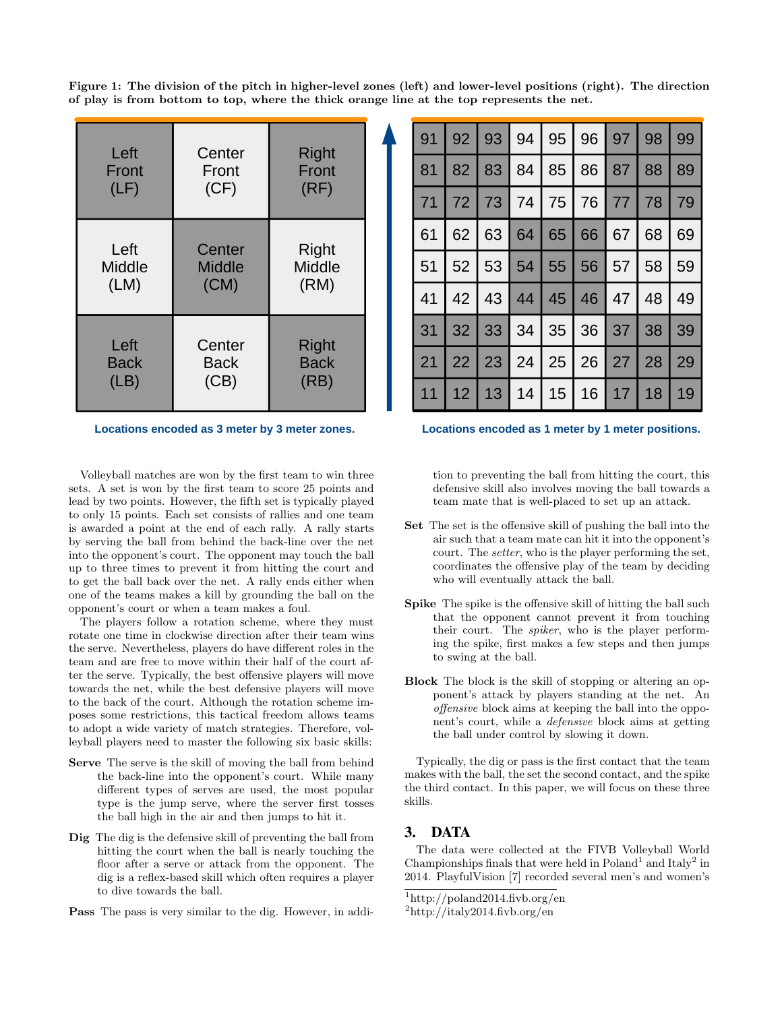Figure 1: The division of the pitch in higher-level zones (left) and lower-level positions (right). The direction of play is from bottom to top, where the thick orange line at the top represents the net.

| Left        | Center      | Right       |  |  |
|-------------|-------------|-------------|--|--|
| Front       | Front       | Front       |  |  |
| (LF)        | (CF)        | (RF)        |  |  |
| Left        | Center      | Right       |  |  |
| Middle      | Middle      | Middle      |  |  |
| (LM)        | (CM)        | (RM)        |  |  |
| Left        | Center      | Right       |  |  |
| <b>Back</b> | <b>Back</b> | <b>Back</b> |  |  |
| (LB)        | (CB)        | (RB)        |  |  |

Volleyball matches are won by the first team to win three sets. A set is won by the first team to score 25 points and lead by two points. However, the fifth set is typically played to only 15 points. Each set consists of rallies and one team is awarded a point at the end of each rally. A rally starts by serving the ball from behind the back-line over the net into the opponent's court. The opponent may touch the ball up to three times to prevent it from hitting the court and to get the ball back over the net. A rally ends either when one of the teams makes a kill by grounding the ball on the opponent's court or when a team makes a foul.

The players follow a rotation scheme, where they must rotate one time in clockwise direction after their team wins the serve. Nevertheless, players do have different roles in the team and are free to move within their half of the court after the serve. Typically, the best offensive players will move towards the net, while the best defensive players will move to the back of the court. Although the rotation scheme imposes some restrictions, this tactical freedom allows teams to adopt a wide variety of match strategies. Therefore, volleyball players need to master the following six basic skills:

- Serve The serve is the skill of moving the ball from behind the back-line into the opponent's court. While many different types of serves are used, the most popular type is the jump serve, where the server first tosses the ball high in the air and then jumps to hit it.
- Dig The dig is the defensive skill of preventing the ball from hitting the court when the ball is nearly touching the floor after a serve or attack from the opponent. The dig is a reflex-based skill which often requires a player to dive towards the ball.

Pass The pass is very similar to the dig. However, in addi-

| 91 |                 |  | 92 93 94 95 96 97 98                       |       | 99          |
|----|-----------------|--|--------------------------------------------|-------|-------------|
| 81 |                 |  | 82   83   84   85   86   87   88           |       | 89          |
|    |                 |  | 71   72   73   74   75   76   77   78      |       | 79          |
|    |                 |  | 61   62   63   64   65   66   67   68      |       | 69          |
|    |                 |  | 51   52   53   54   55   56   57   58      |       | $\sqrt{59}$ |
|    |                 |  | 41   42   43   44   45   46   47   48   49 |       |             |
|    |                 |  | 31   32   33   34   35   36   37   38      |       | 39          |
| 21 |                 |  | 22   23   24   25   26   27   28           |       | 29          |
| 11 | 12 <sub>1</sub> |  | 13   14   15   16                          | 17 18 | 19          |



tion to preventing the ball from hitting the court, this defensive skill also involves moving the ball towards a team mate that is well-placed to set up an attack.

- Set The set is the offensive skill of pushing the ball into the air such that a team mate can hit it into the opponent's court. The setter, who is the player performing the set, coordinates the offensive play of the team by deciding who will eventually attack the ball.
- Spike The spike is the offensive skill of hitting the ball such that the opponent cannot prevent it from touching their court. The spiker, who is the player performing the spike, first makes a few steps and then jumps to swing at the ball.
- Block The block is the skill of stopping or altering an opponent's attack by players standing at the net. An offensive block aims at keeping the ball into the opponent's court, while a defensive block aims at getting the ball under control by slowing it down.

Typically, the dig or pass is the first contact that the team makes with the ball, the set the second contact, and the spike the third contact. In this paper, we will focus on these three skills.

# 3. DATA

The data were collected at the FIVB Volleyball World Championships finals that were held in Poland<sup>1</sup> and Italy<sup>2</sup> in 2014. PlayfulVision [7] recorded several men's and women's

<sup>1</sup>http://poland2014.fivb.org/en

 $^{2}$ http://italy2014.fivb.org/en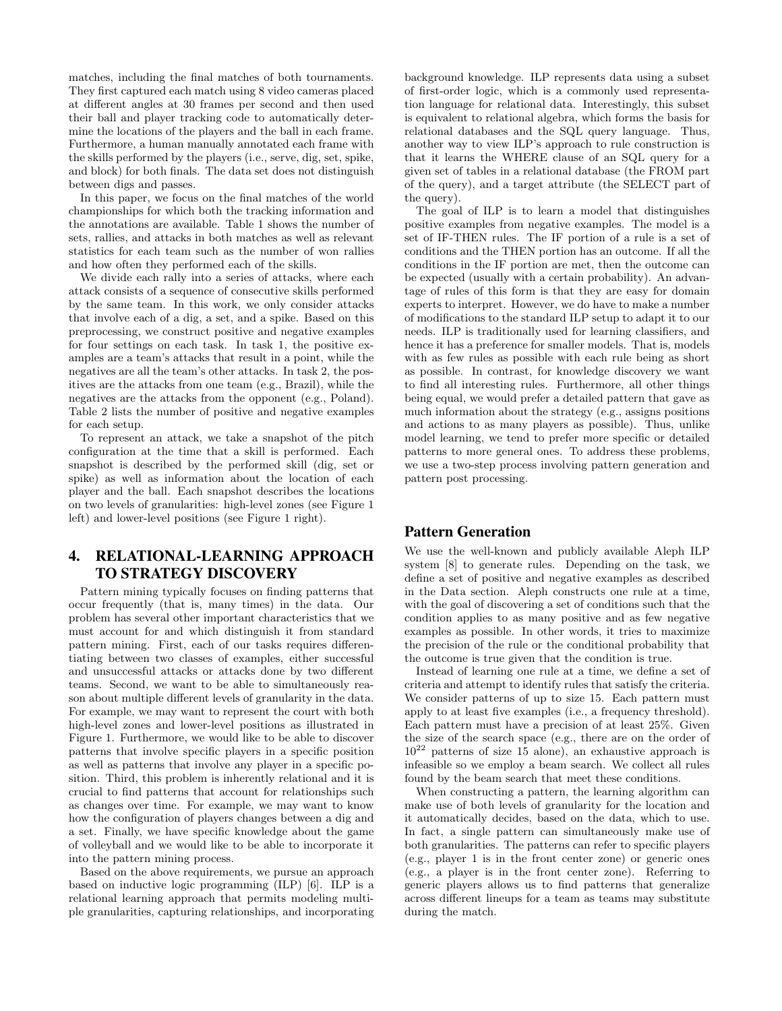matches, including the final matches of both tournaments. They first captured each match using 8 video cameras placed at different angles at 30 frames per second and then used their ball and player tracking code to automatically determine the locations of the players and the ball in each frame. Furthermore, a human manually annotated each frame with the skills performed by the players (i.e., serve, dig, set, spike, and block) for both finals. The data set does not distinguish between digs and passes.

In this paper, we focus on the final matches of the world championships for which both the tracking information and the annotations are available. Table 1 shows the number of sets, rallies, and attacks in both matches as well as relevant statistics for each team such as the number of won rallies and how often they performed each of the skills.

We divide each rally into a series of attacks, where each attack consists of a sequence of consecutive skills performed by the same team. In this work, we only consider attacks that involve each of a dig, a set, and a spike. Based on this preprocessing, we construct positive and negative examples for four settings on each task. In task 1, the positive examples are a team's attacks that result in a point, while the negatives are all the team's other attacks. In task 2, the positives are the attacks from one team (e.g., Brazil), while the negatives are the attacks from the opponent (e.g., Poland). Table 2 lists the number of positive and negative examples for each setup.

To represent an attack, we take a snapshot of the pitch configuration at the time that a skill is performed. Each snapshot is described by the performed skill (dig, set or spike) as well as information about the location of each player and the ball. Each snapshot describes the locations on two levels of granularities: high-level zones (see Figure 1 left) and lower-level positions (see Figure 1 right).

# 4. RELATIONAL-LEARNING APPROACH TO STRATEGY DISCOVERY

Pattern mining typically focuses on finding patterns that occur frequently (that is, many times) in the data. Our problem has several other important characteristics that we must account for and which distinguish it from standard pattern mining. First, each of our tasks requires differentiating between two classes of examples, either successful and unsuccessful attacks or attacks done by two different teams. Second, we want to be able to simultaneously reason about multiple different levels of granularity in the data. For example, we may want to represent the court with both high-level zones and lower-level positions as illustrated in Figure 1. Furthermore, we would like to be able to discover patterns that involve specific players in a specific position as well as patterns that involve any player in a specific position. Third, this problem is inherently relational and it is crucial to find patterns that account for relationships such as changes over time. For example, we may want to know how the configuration of players changes between a dig and a set. Finally, we have specific knowledge about the game of volleyball and we would like to be able to incorporate it into the pattern mining process.

Based on the above requirements, we pursue an approach based on inductive logic programming (ILP) [6]. ILP is a relational learning approach that permits modeling multiple granularities, capturing relationships, and incorporating background knowledge. ILP represents data using a subset of first-order logic, which is a commonly used representation language for relational data. Interestingly, this subset is equivalent to relational algebra, which forms the basis for relational databases and the SQL query language. Thus, another way to view ILP's approach to rule construction is that it learns the WHERE clause of an SQL query for a given set of tables in a relational database (the FROM part of the query), and a target attribute (the SELECT part of the query).

The goal of ILP is to learn a model that distinguishes positive examples from negative examples. The model is a set of IF-THEN rules. The IF portion of a rule is a set of conditions and the THEN portion has an outcome. If all the conditions in the IF portion are met, then the outcome can be expected (usually with a certain probability). An advantage of rules of this form is that they are easy for domain experts to interpret. However, we do have to make a number of modifications to the standard ILP setup to adapt it to our needs. ILP is traditionally used for learning classifiers, and hence it has a preference for smaller models. That is, models with as few rules as possible with each rule being as short as possible. In contrast, for knowledge discovery we want to find all interesting rules. Furthermore, all other things being equal, we would prefer a detailed pattern that gave as much information about the strategy (e.g., assigns positions and actions to as many players as possible). Thus, unlike model learning, we tend to prefer more specific or detailed patterns to more general ones. To address these problems, we use a two-step process involving pattern generation and pattern post processing.

#### Pattern Generation

We use the well-known and publicly available Aleph ILP system [8] to generate rules. Depending on the task, we define a set of positive and negative examples as described in the Data section. Aleph constructs one rule at a time, with the goal of discovering a set of conditions such that the condition applies to as many positive and as few negative examples as possible. In other words, it tries to maximize the precision of the rule or the conditional probability that the outcome is true given that the condition is true.

Instead of learning one rule at a time, we define a set of criteria and attempt to identify rules that satisfy the criteria. We consider patterns of up to size 15. Each pattern must apply to at least five examples (i.e., a frequency threshold). Each pattern must have a precision of at least 25%. Given the size of the search space (e.g., there are on the order of  $10^{22}$  patterns of size 15 alone), an exhaustive approach is infeasible so we employ a beam search. We collect all rules found by the beam search that meet these conditions.

When constructing a pattern, the learning algorithm can make use of both levels of granularity for the location and it automatically decides, based on the data, which to use. In fact, a single pattern can simultaneously make use of both granularities. The patterns can refer to specific players (e.g., player 1 is in the front center zone) or generic ones (e.g., a player is in the front center zone). Referring to generic players allows us to find patterns that generalize across different lineups for a team as teams may substitute during the match.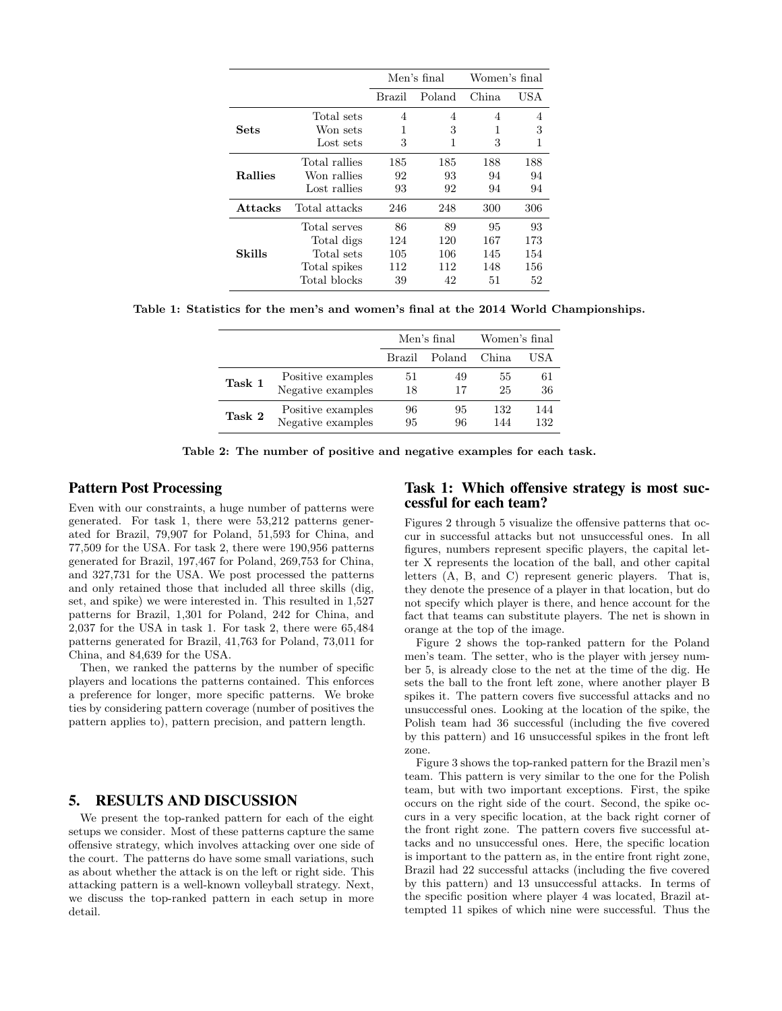|                |               |        | Men's final | Women's final |     |  |
|----------------|---------------|--------|-------------|---------------|-----|--|
|                |               | Brazil | Poland      | China.        | USA |  |
|                | Total sets    | 4      | 4           | 4             | 4   |  |
| Sets           | Won sets      | 1      | 3           | 1             | 3   |  |
|                | Lost sets     | 3      | 1           | 3             | 1   |  |
|                | Total rallies | 185    | 185         | 188           | 188 |  |
| Rallies        | Won rallies   | 92     | 93          | 94            | 94  |  |
|                | Lost rallies  | 93     | 92          | 94            | 94  |  |
| <b>Attacks</b> | Total attacks | 246    | 248         | 300           | 306 |  |
| Skills         | Total serves  | 86     | 89          | 95            | 93  |  |
|                | Total digs    | 124    | 120         | 167           | 173 |  |
|                | Total sets    | 105    | 106         | 145           | 154 |  |
|                | Total spikes  | 112    | 112         | 148           | 156 |  |
|                | Total blocks  | 39     | 42          | 51            | 52  |  |

Table 1: Statistics for the men's and women's final at the 2014 World Championships.

|        |                   | Men's final<br>Women's final |        |       |     |
|--------|-------------------|------------------------------|--------|-------|-----|
|        |                   | Brazil                       | Poland | China | USA |
| Task 1 | Positive examples | 51                           | 49     | 55    | 61  |
|        | Negative examples | 18                           | 17     | 25    | 36  |
| Task 2 | Positive examples | 96                           | 95     | 132   | 144 |
|        | Negative examples | 95                           | 96     | 144   | 132 |

Table 2: The number of positive and negative examples for each task.

#### Pattern Post Processing

Even with our constraints, a huge number of patterns were generated. For task 1, there were 53,212 patterns generated for Brazil, 79,907 for Poland, 51,593 for China, and 77,509 for the USA. For task 2, there were 190,956 patterns generated for Brazil, 197,467 for Poland, 269,753 for China, and 327,731 for the USA. We post processed the patterns and only retained those that included all three skills (dig, set, and spike) we were interested in. This resulted in 1,527 patterns for Brazil, 1,301 for Poland, 242 for China, and 2,037 for the USA in task 1. For task 2, there were 65,484 patterns generated for Brazil, 41,763 for Poland, 73,011 for China, and 84,639 for the USA.

Then, we ranked the patterns by the number of specific players and locations the patterns contained. This enforces a preference for longer, more specific patterns. We broke ties by considering pattern coverage (number of positives the pattern applies to), pattern precision, and pattern length.

## 5. RESULTS AND DISCUSSION

We present the top-ranked pattern for each of the eight setups we consider. Most of these patterns capture the same offensive strategy, which involves attacking over one side of the court. The patterns do have some small variations, such as about whether the attack is on the left or right side. This attacking pattern is a well-known volleyball strategy. Next, we discuss the top-ranked pattern in each setup in more detail.

## Task 1: Which offensive strategy is most successful for each team?

Figures 2 through 5 visualize the offensive patterns that occur in successful attacks but not unsuccessful ones. In all figures, numbers represent specific players, the capital letter X represents the location of the ball, and other capital letters (A, B, and C) represent generic players. That is, they denote the presence of a player in that location, but do not specify which player is there, and hence account for the fact that teams can substitute players. The net is shown in orange at the top of the image.

Figure 2 shows the top-ranked pattern for the Poland men's team. The setter, who is the player with jersey number 5, is already close to the net at the time of the dig. He sets the ball to the front left zone, where another player B spikes it. The pattern covers five successful attacks and no unsuccessful ones. Looking at the location of the spike, the Polish team had 36 successful (including the five covered by this pattern) and 16 unsuccessful spikes in the front left zone.

Figure 3 shows the top-ranked pattern for the Brazil men's team. This pattern is very similar to the one for the Polish team, but with two important exceptions. First, the spike occurs on the right side of the court. Second, the spike occurs in a very specific location, at the back right corner of the front right zone. The pattern covers five successful attacks and no unsuccessful ones. Here, the specific location is important to the pattern as, in the entire front right zone, Brazil had 22 successful attacks (including the five covered by this pattern) and 13 unsuccessful attacks. In terms of the specific position where player 4 was located, Brazil attempted 11 spikes of which nine were successful. Thus the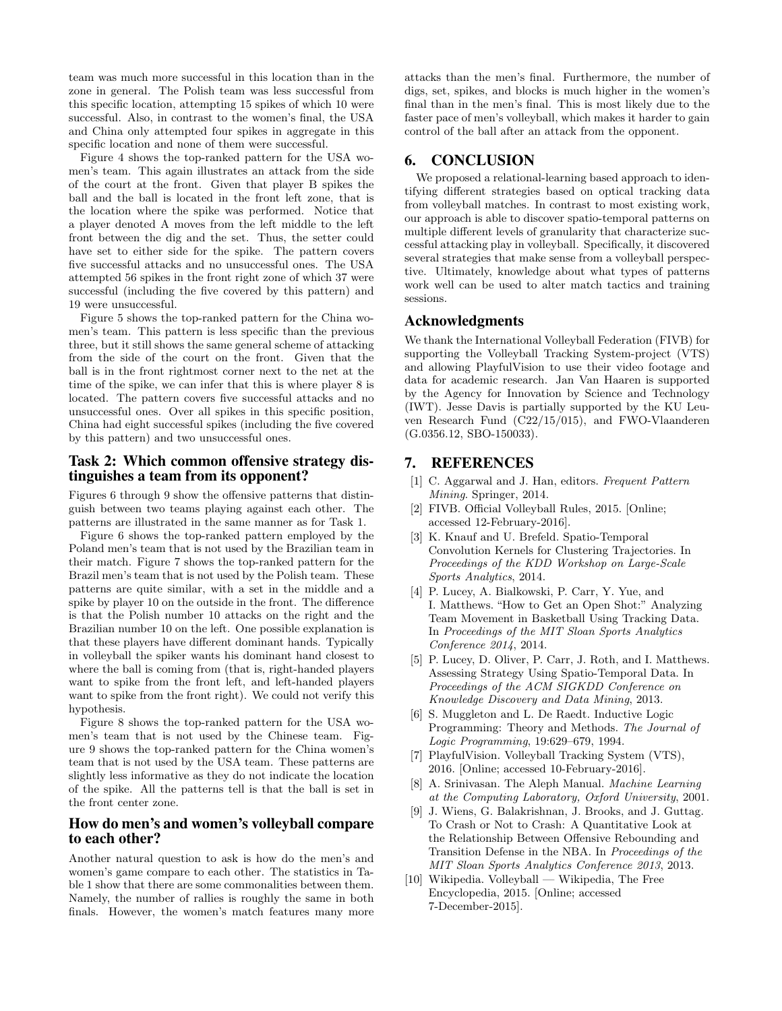team was much more successful in this location than in the zone in general. The Polish team was less successful from this specific location, attempting 15 spikes of which 10 were successful. Also, in contrast to the women's final, the USA and China only attempted four spikes in aggregate in this specific location and none of them were successful.

Figure 4 shows the top-ranked pattern for the USA women's team. This again illustrates an attack from the side of the court at the front. Given that player B spikes the ball and the ball is located in the front left zone, that is the location where the spike was performed. Notice that a player denoted A moves from the left middle to the left front between the dig and the set. Thus, the setter could have set to either side for the spike. The pattern covers five successful attacks and no unsuccessful ones. The USA attempted 56 spikes in the front right zone of which 37 were successful (including the five covered by this pattern) and 19 were unsuccessful.

Figure 5 shows the top-ranked pattern for the China women's team. This pattern is less specific than the previous three, but it still shows the same general scheme of attacking from the side of the court on the front. Given that the ball is in the front rightmost corner next to the net at the time of the spike, we can infer that this is where player 8 is located. The pattern covers five successful attacks and no unsuccessful ones. Over all spikes in this specific position, China had eight successful spikes (including the five covered by this pattern) and two unsuccessful ones.

## Task 2: Which common offensive strategy distinguishes a team from its opponent?

Figures 6 through 9 show the offensive patterns that distinguish between two teams playing against each other. The patterns are illustrated in the same manner as for Task 1.

Figure 6 shows the top-ranked pattern employed by the Poland men's team that is not used by the Brazilian team in their match. Figure 7 shows the top-ranked pattern for the Brazil men's team that is not used by the Polish team. These patterns are quite similar, with a set in the middle and a spike by player 10 on the outside in the front. The difference is that the Polish number 10 attacks on the right and the Brazilian number 10 on the left. One possible explanation is that these players have different dominant hands. Typically in volleyball the spiker wants his dominant hand closest to where the ball is coming from (that is, right-handed players want to spike from the front left, and left-handed players want to spike from the front right). We could not verify this hypothesis.

Figure 8 shows the top-ranked pattern for the USA women's team that is not used by the Chinese team. Figure 9 shows the top-ranked pattern for the China women's team that is not used by the USA team. These patterns are slightly less informative as they do not indicate the location of the spike. All the patterns tell is that the ball is set in the front center zone.

## How do men's and women's volleyball compare to each other?

Another natural question to ask is how do the men's and women's game compare to each other. The statistics in Table 1 show that there are some commonalities between them. Namely, the number of rallies is roughly the same in both finals. However, the women's match features many more

attacks than the men's final. Furthermore, the number of digs, set, spikes, and blocks is much higher in the women's final than in the men's final. This is most likely due to the faster pace of men's volleyball, which makes it harder to gain control of the ball after an attack from the opponent.

# 6. CONCLUSION

We proposed a relational-learning based approach to identifying different strategies based on optical tracking data from volleyball matches. In contrast to most existing work, our approach is able to discover spatio-temporal patterns on multiple different levels of granularity that characterize successful attacking play in volleyball. Specifically, it discovered several strategies that make sense from a volleyball perspective. Ultimately, knowledge about what types of patterns work well can be used to alter match tactics and training sessions.

#### Acknowledgments

We thank the International Volleyball Federation (FIVB) for supporting the Volleyball Tracking System-project (VTS) and allowing PlayfulVision to use their video footage and data for academic research. Jan Van Haaren is supported by the Agency for Innovation by Science and Technology (IWT). Jesse Davis is partially supported by the KU Leuven Research Fund (C22/15/015), and FWO-Vlaanderen (G.0356.12, SBO-150033).

# 7. REFERENCES

- [1] C. Aggarwal and J. Han, editors. Frequent Pattern Mining. Springer, 2014.
- [2] FIVB. Official Volleyball Rules, 2015. [Online; accessed 12-February-2016].
- [3] K. Knauf and U. Brefeld. Spatio-Temporal Convolution Kernels for Clustering Trajectories. In Proceedings of the KDD Workshop on Large-Scale Sports Analytics, 2014.
- [4] P. Lucey, A. Bialkowski, P. Carr, Y. Yue, and I. Matthews. "How to Get an Open Shot:" Analyzing Team Movement in Basketball Using Tracking Data. In Proceedings of the MIT Sloan Sports Analytics Conference 2014, 2014.
- [5] P. Lucey, D. Oliver, P. Carr, J. Roth, and I. Matthews. Assessing Strategy Using Spatio-Temporal Data. In Proceedings of the ACM SIGKDD Conference on Knowledge Discovery and Data Mining, 2013.
- [6] S. Muggleton and L. De Raedt. Inductive Logic Programming: Theory and Methods. The Journal of Logic Programming, 19:629–679, 1994.
- [7] PlayfulVision, Volleyball Tracking System (VTS), 2016. [Online; accessed 10-February-2016].
- [8] A. Srinivasan. The Aleph Manual. Machine Learning at the Computing Laboratory, Oxford University, 2001.
- [9] J. Wiens, G. Balakrishnan, J. Brooks, and J. Guttag. To Crash or Not to Crash: A Quantitative Look at the Relationship Between Offensive Rebounding and Transition Defense in the NBA. In Proceedings of the MIT Sloan Sports Analytics Conference 2013, 2013.
- [10] Wikipedia. Volleyball Wikipedia, The Free Encyclopedia, 2015. [Online; accessed 7-December-2015].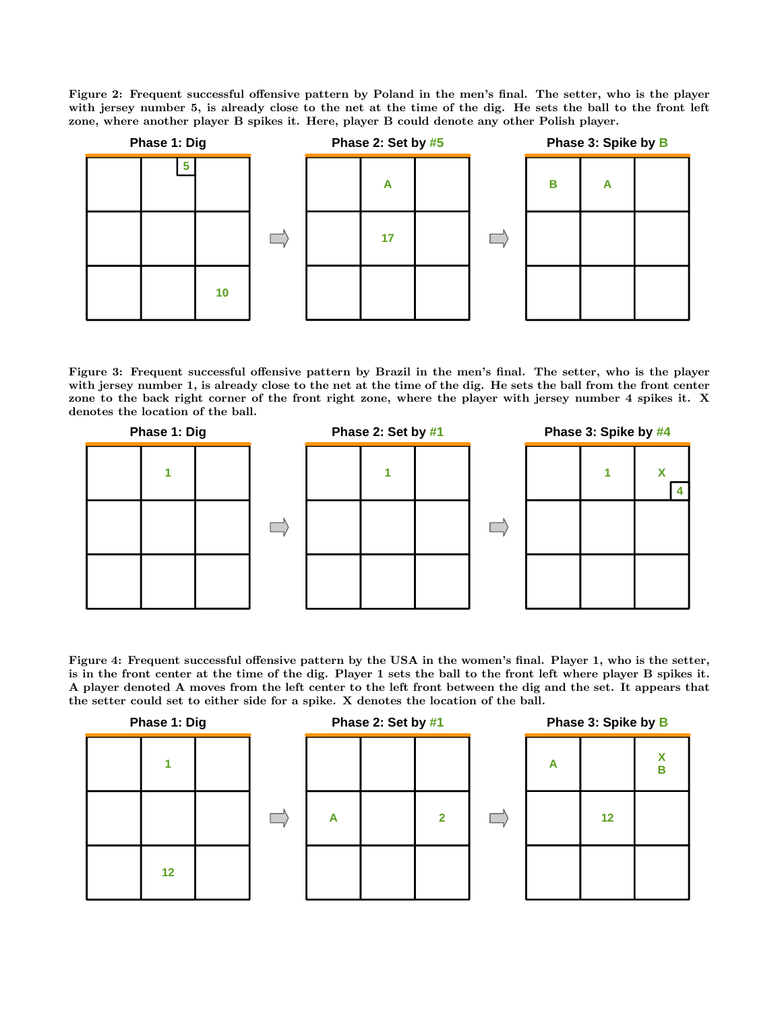Figure 2: Frequent successful offensive pattern by Poland in the men's final. The setter, who is the player with jersey number 5, is already close to the net at the time of the dig. He sets the ball to the front left zone, where another player B spikes it. Here, player B could denote any other Polish player.



Figure 3: Frequent successful offensive pattern by Brazil in the men's final. The setter, who is the player with jersey number 1, is already close to the net at the time of the dig. He sets the ball from the front center zone to the back right corner of the front right zone, where the player with jersey number 4 spikes it. X denotes the location of the ball.



Figure 4: Frequent successful offensive pattern by the USA in the women's final. Player 1, who is the setter, is in the front center at the time of the dig. Player 1 sets the ball to the front left where player B spikes it. A player denoted A moves from the left center to the left front between the dig and the set. It appears that the setter could set to either side for a spike. X denotes the location of the ball.

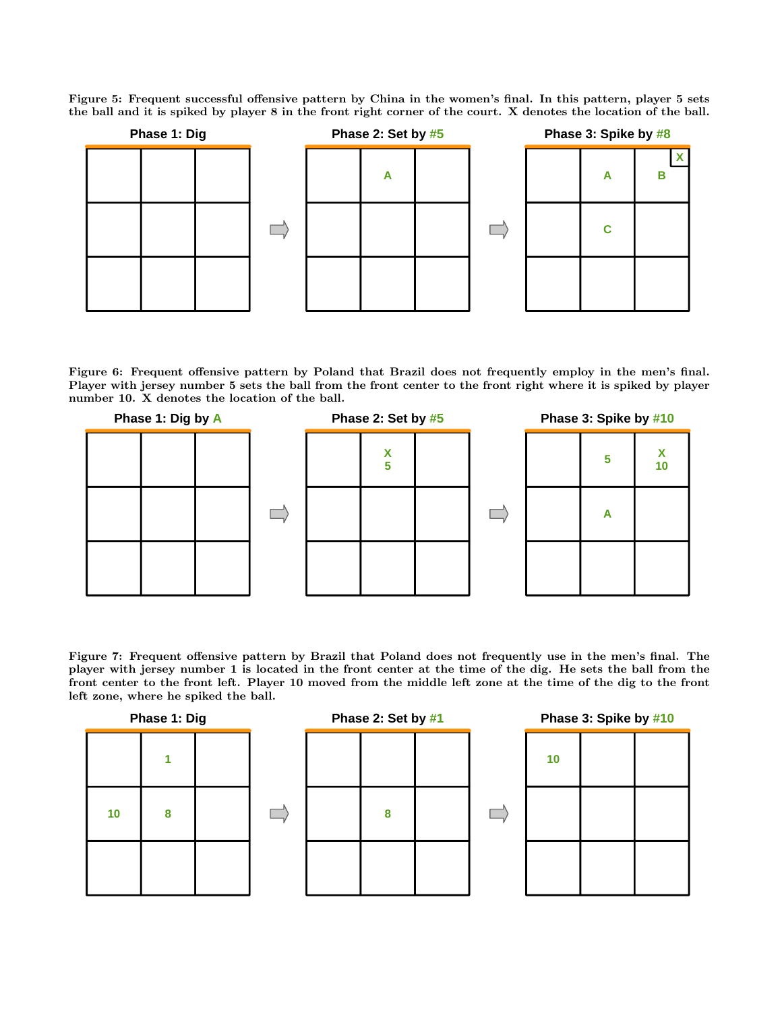Figure 5: Frequent successful offensive pattern by China in the women's final. In this pattern, player 5 sets the ball and it is spiked by player 8 in the front right corner of the court. X denotes the location of the ball.



Figure 6: Frequent offensive pattern by Poland that Brazil does not frequently employ in the men's final. Player with jersey number 5 sets the ball from the front center to the front right where it is spiked by player number 10. X denotes the location of the ball.



Figure 7: Frequent offensive pattern by Brazil that Poland does not frequently use in the men's final. The player with jersey number 1 is located in the front center at the time of the dig. He sets the ball from the front center to the front left. Player 10 moved from the middle left zone at the time of the dig to the front left zone, where he spiked the ball.